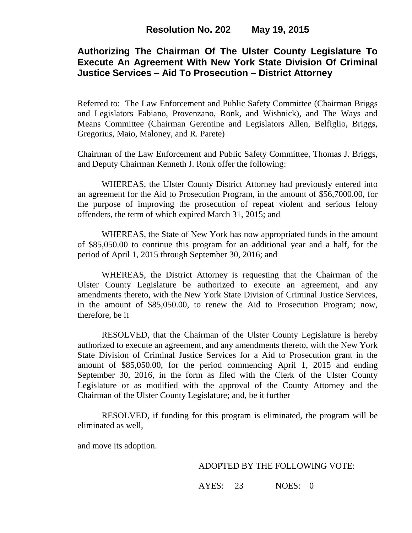## **Authorizing The Chairman Of The Ulster County Legislature To Execute An Agreement With New York State Division Of Criminal Justice Services – Aid To Prosecution – District Attorney**

Referred to: The Law Enforcement and Public Safety Committee (Chairman Briggs and Legislators Fabiano, Provenzano, Ronk, and Wishnick), and The Ways and Means Committee (Chairman Gerentine and Legislators Allen, Belfiglio, Briggs, Gregorius, Maio, Maloney, and R. Parete)

Chairman of the Law Enforcement and Public Safety Committee, Thomas J. Briggs, and Deputy Chairman Kenneth J. Ronk offer the following:

WHEREAS, the Ulster County District Attorney had previously entered into an agreement for the Aid to Prosecution Program, in the amount of \$56,7000.00, for the purpose of improving the prosecution of repeat violent and serious felony offenders, the term of which expired March 31, 2015; and

WHEREAS, the State of New York has now appropriated funds in the amount of \$85,050.00 to continue this program for an additional year and a half, for the period of April 1, 2015 through September 30, 2016; and

WHEREAS, the District Attorney is requesting that the Chairman of the Ulster County Legislature be authorized to execute an agreement, and any amendments thereto, with the New York State Division of Criminal Justice Services, in the amount of \$85,050.00, to renew the Aid to Prosecution Program; now, therefore, be it

RESOLVED, that the Chairman of the Ulster County Legislature is hereby authorized to execute an agreement, and any amendments thereto, with the New York State Division of Criminal Justice Services for a Aid to Prosecution grant in the amount of \$85,050.00, for the period commencing April 1, 2015 and ending September 30, 2016, in the form as filed with the Clerk of the Ulster County Legislature or as modified with the approval of the County Attorney and the Chairman of the Ulster County Legislature; and, be it further

RESOLVED, if funding for this program is eliminated, the program will be eliminated as well,

and move its adoption.

#### ADOPTED BY THE FOLLOWING VOTE:

AYES: 23 NOES: 0